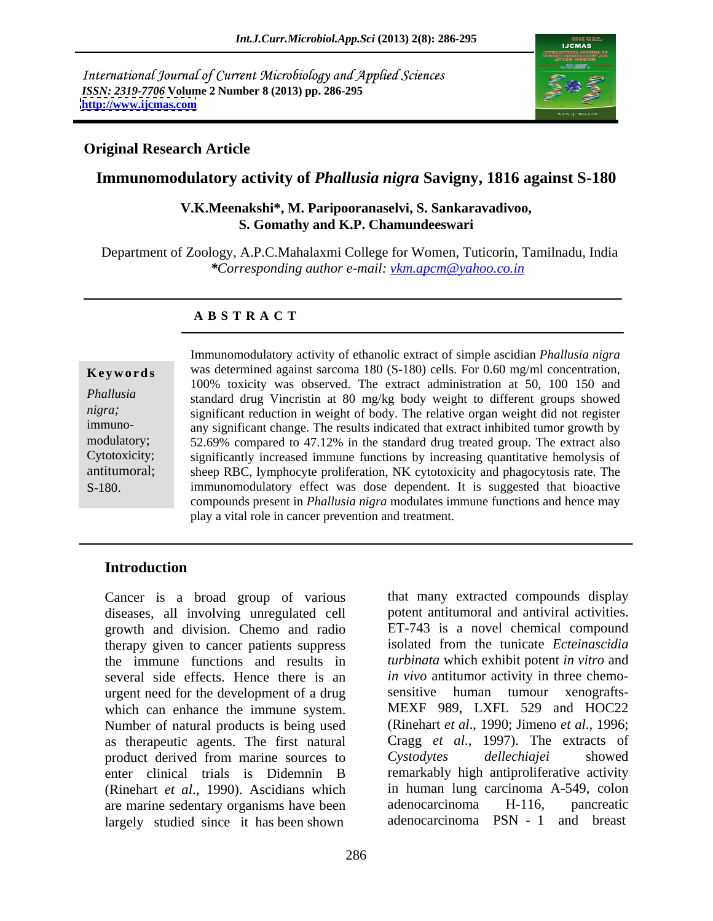International Journal of Current Microbiology and Applied Sciences *ISSN: 2319-7706* **Volume 2 Number 8 (2013) pp. 286-295 <http://www.ijcmas.com>**



## **Original Research Article**

## **Immunomodulatory activity of** *Phallusia nigra* **Savigny, 1816 against S-180**

## **V.K.Meenakshi\*, M. Paripooranaselvi, S. Sankaravadivoo, S. Gomathy and K.P. Chamundeeswari**

 Department of Zoology, A.P.C.Mahalaxmi College for Women, Tuticorin, Tamilnadu, India *\*Corresponding author e-mail: vkm.apcm@yahoo.co.in*

### **A B S T R A C T**

**Keywords** was determined against sarcoma 180 (S-180) cells. For 0.60 mg/ml concentration, *Phallusia*  standard drug Vincristin at 80 mg/kg body weight to different groups showed *nigra*; significant reduction in weight of body. The relative organ weight did not register immuno- any significant change. The results indicated that extract inhibited tumor growth by modulatory; 52.69% compared to 47.12% in the standard drug treated group. The extract also Cytotoxicity; significantly increased immune functions by increasing quantitative hemolysis of antitumoral; sheep RBC, lymphocyte proliferation, NK cytotoxicity and phagocytosis rate. The Immunomodulatory activity of ethanolic extract of simple ascidian *Phallusia nigra*<br>
was determined against sarcoma 180 (S-180) cells. For 0.60 mg/ml concentration,<br>
100% toxicity was observed. The extract administration a 100% toxicity was observed. The extract administration at 50, 100 150 and immunomodulatory effect was dose dependent. It is suggested that bioactive compounds present in *Phallusia nigra* modulates immune functions and hence may play a vital role in cancer prevention and treatment.

## **Introduction**

Cancer is a broad group of various that many extracted compounds display diseases, all involving unregulated cell growth and division. Chemo and radio therapy given to cancer patients suppress the immune functions and results in *turbinata* which exhibit potent *in vitro* and several side effects. Hence there is an urgent need for the development of a drug sensitive human tumour xenograftswhich can enhance the immune system. Number of natural products is being used as therapeutic agents. The first natural Cragg *et al.*, 1997). The extracts of product derived from marine sources to Cystodytes dellechiajei showed product derived from marine sources to enter clinical trials is Didemnin B remarkably high antiproliferative activity (Rinehart *et al*., 1990). Ascidians which are marine sedentary organisms have been adenocarcinoma H-116, pancreatic largely studied since it has been shown

potent antitumoral and antiviral activities. ET-743 is a novel chemical compound isolated from the tunicate *Ecteinascidia in vivo* antitumor activity in three chemo sensitive human tumour xenografts- MEXF 989, LXFL 529 and HOC22 (Rinehart *et al*., 1990; Jimeno *et al*., 1996; Cragg *et al*., 1997). The extracts of *Cystodytes dellechiajei* showed in human lung carcinoma A-549, colon adenocarcinoma H-116, pancreatic adenocarcinoma PSN - 1 and breast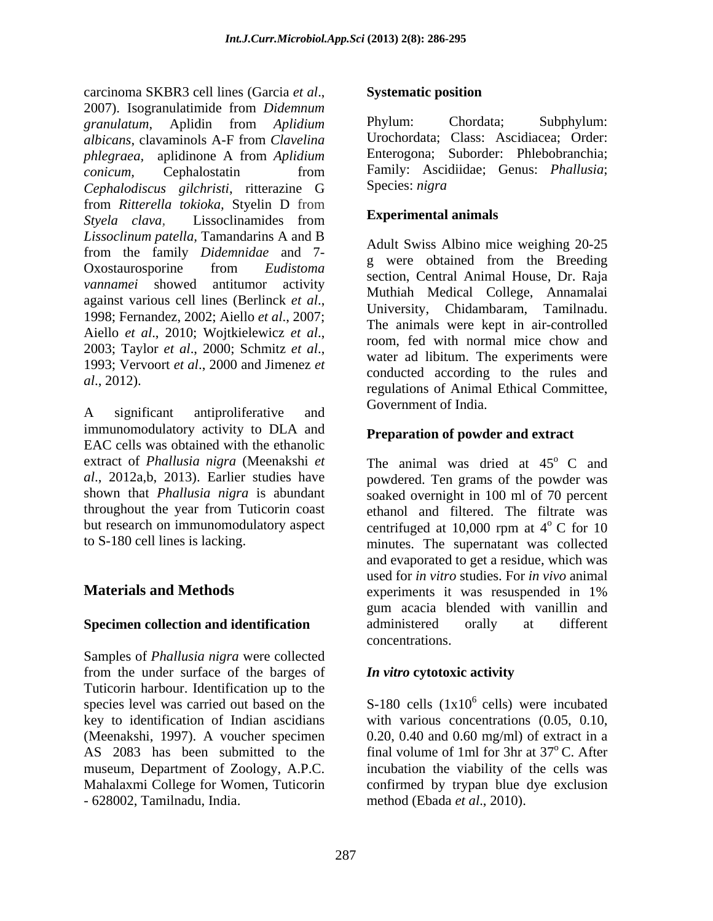carcinoma SKBR3 cell lines (Garcia *et al*., 2007). Isogranulatimide from *Didemnum granulatum*, Aplidin from *Aplidium albicans*, clavaminols A-F from *Clavelina phlegraea,* aplidinone A from *Aplidium conicum*, Cephalostatin from Family: Ascidiidae; Genus: *Phallusia*; *Cephalodiscus gilchristi*, ritterazine G from *Ritterella tokioka,* Styelin D from *Styela clava,* Lissoclinamides from *Lissoclinum patella,* Tamandarins A and B from the family *Didemnidae* and 7- Oxostaurosporine from *Eudistoma vannamei* showed antitumor activity against various cell lines (Berlinck *et al.*,<br>1998; Fernandez, 2002; Aiello *et al.*, 2007;<br>The enimels were least in ein centraliad Aiello *et al.*, 2010; Wojtkielewicz *et al.*, <br>2003; Taylor *et al.*, 2000; Schmitz *et al.*, <br>1993; Vervoort *et al.*, 2000 and Jimenez *et* and a variable application to the rules and

A significant antiproliferative and covernment of mula. immunomodulatory activity to DLA and EAC cells was obtained with the ethanolic extract of *Phallusia nigra* (Meenakshi *et* 

Samples of *Phallusia nigra* were collected from the under surface of the barges of **In vitro cytotoxic activity** Tuticorin harbour. Identification up to the AS 2083 has been submitted to the - 628002, Tamilnadu, India. method (Ebada *et al*., 2010).

## **Systematic position**

Phylum: Chordata; Subphylum: Urochordata; Class: Ascidiacea; Order: Enterogona; Suborder: Phlebobranchia; Family: Ascidiidae; Genus: *Phallusia*; Species: *nigra*

## **Experimental animals**

*al*., 2012). Conducted according to the rates and regulations of Animal Ethical Committee, Adult Swiss Albino mice weighing 20-25 g were obtained from the Breeding section, Central Animal House, Dr. Raja Muthiah Medical College, Annamalai University, Chidambaram, Tamilnadu. The animals were kept in air-controlled room, fed with normal mice chow and water ad libitum. The experiments were conducted according to the rules and Government of India.

## **Preparation of powder and extract**

*al*., 2012a,b, 2013). Earlier studies have powdered. Ten grams of the powder was shown that *Phallusia nigra* is abundant soaked overnight in 100 ml of 70 percent throughout the year from Tuticorin coast ethanol and filtered. The filtrate was but research on immunomodulatory aspect centrifuged at  $10,000$  rpm at  $4^{\circ}$  C for 10 to S-180 cell lines is lacking. minutes. The supernatant was collected and evaporated to get a residue, which was **Materials and Methods** experiments it was resuspended in 1% **Specimen collection and identification** administered orally at different The animal was dried at  $45^{\circ}$  C and <sup>o</sup> C and  $\rm ^{o}$  C for 10 used for *in vitro* studies. For *in vivo* animal experiments it was resuspended in 1% gum acacia blended with vanillin and administered orally at different concentrations.

## *In vitro* **cytotoxic activity**

species level was carried out based on the  $S-180$  cells  $(1x10<sup>6</sup>$  cells) were incubated key to identification of Indian ascidians with various concentrations (0.05, 0.10, (Meenakshi, 1997). A voucher specimen 0.20, 0.40 and 0.60 mg/ml) of extract in a museum, Department of Zoology, A.P.C. incubation the viability of the cells was Mahalaxmi College for Women, Tuticorin confirmed by trypan blue dye exclusion <sup>6</sup> cells) were incubated final volume of 1ml for 3hr at  $37^{\circ}$ C. After <sup>o</sup> C. After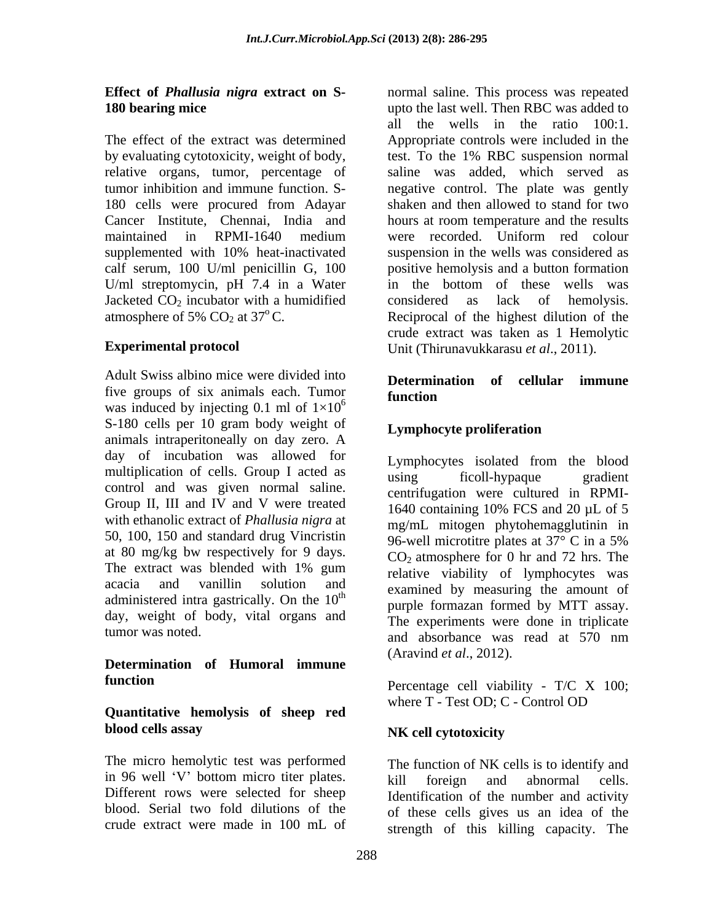relative organs, tumor, percentage of Cancer Institute, Chennai, India and hours at room temperature and the results U/ml streptomycin, pH 7.4 in a Water in the bottom of these wells was Jacketed  $CO_2$  incubator with a humidified<br>atmosphere of 5%  $CO_2$  at 37°C.<br>Reciprocal of the highest dilution of the

Adult Swiss albino mice were divided into<br> **Determination** of cellular immune five groups of six animals each. Tumor<br>function was induced by injecting 0.1 ml of  $1\times10^{6}$ S-180 cells per 10 gram body weight of **Lymphocyte proliferation** animals intraperitoneally on day zero. A day of incubation was allowed for multiplication of cells. Group I acted as  $\frac{2 \text{ J} \cdot \text{m} \cdot \text{m}}{\text{using}}$  ficoll-hypaque gradient control and was given normal saline. Group II, III and IV and V were treated  $\frac{60 \text{ min.}}{1640 \text{ containing } 10\% \text{ FCS and } 20 \text{ }\mu\text{L of } 5$ with ethanolic extract of *Phallusia nigra* at 50, 100, 150 and standard drug Vincristin  $\frac{96}{96}$ -well microtitre plates at  $37^{\circ}$  C in a 5% at 80 mg/kg bw respectively for 9 days.<br>The extract was blended with 1% gum  $CO_2$  atmosphere for 0 hr and 72 hrs. The  $\alpha$  acacia and vanillin solution and examined by measuring the amount of edministered intro-contribution on the  $10^{th}$ administered intra gastrically. On the 10<sup>th</sup> day, weight of body, vital organs and

# **Determination of Humoral immune function** Percentage cell viability - T/C X 100;

## **Quantitative hemolysis of sheep red blood cells assay**

The micro hemolytic test was performed in 96 well 'V' bottom micro titer plates. <br>kill foreign and abnormal cells. Different rows were selected for sheep

**Effect of** *Phallusia nigra* **extract on S-** normal saline. This process was repeated **180 bearing mice 180 bearing mice 180 bearing mice 180 bearing mice 180 bearing mice 180 cm 180 cm 180 cm 180 cm 180 cm 180 cm 180 cm 180 cm 180 cm 180 cm 180 cm 180 cm 180 cm 180 cm** The effect of the extract was determined Appropriate controls were included in the by evaluating cytotoxicity, weight of body, test. To the 1% RBC suspension normal tumor inhibition and immune function. S- negative control. The plate was gently 180 cells were procured from Adayar shaken and then allowed to stand for two maintained in RPMI-1640 medium supplemented with 10% heat-inactivated suspension in the wells was considered as calf serum, 100 U/ml penicillin G, 100 positive hemolysis and a button formation atmosphere of 5%  $CO_2$  at 37°C. Reciprocal of the highest dilution of the **Experimental protocol** Unit (Thirunavukkarasu *et al*., 2011). all the wells in the ratio 100:1. saline was added, which served as hours at room temperature and the results were recorded. Uniform red colour suspension in the wells was considered as in the bottom of these wells was considered as lack of hemolysis.crude extract was taken as 1 Hemolytic

### $\frac{6}{6}$  and  $\frac{1}{6}$ **Determination of cellular immune function**

## **Lymphocyte proliferation**

tumor was noted. and absorbance was read at 570 nm Lymphocytes isolated from the blood using ficoll-hypaque gradient centrifugation were cultured in RPMI- 1640 containing 10% FCS and 20 µL of 5 mg/mL mitogen phytohemagglutinin in 96-well microtitre plates at 37° C in a 5%  $CO<sub>2</sub>$  atmosphere for 0 hr and 72 hrs. The relative viability of lymphocytes was purple formazan formed by MTT assay. The experiments were done in triplicate and absorbance was read at 570 nm

(Aravind *et al.*, 2012).<br>Percentage cell viability - T/C X 100; where T - Test OD; C - Control OD

## **NK cell cytotoxicity**

blood. Serial two fold dilutions of the of these cells gives us an idea of the crude extract were made in 100 mL of strength of this killing capacity. The The function of NK cells is to identify and kill foreign and abnormal cells. Identification of the number and activity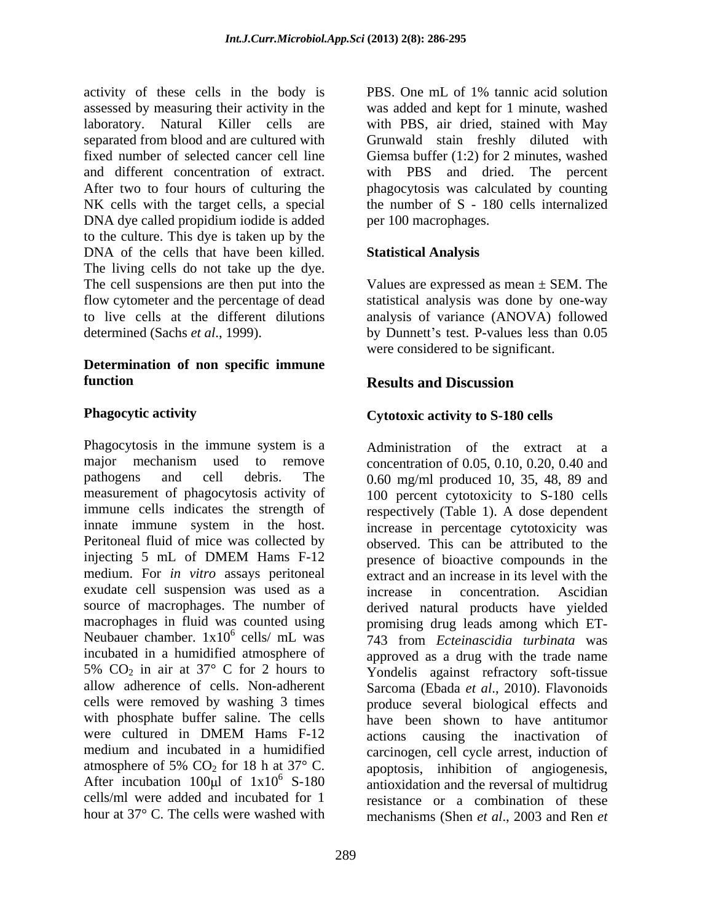activity of these cells in the body is PBS. One mL of 1% tannic acid solution assessed by measuring their activity in the was added and kept for 1 minute, washed laboratory. Natural Killer cells are with PBS, air dried, stained with May separated from blood and are cultured with Grunwald stain freshly diluted with fixed number of selected cancer cell line Giemsa buffer (1:2) for 2 minutes, washed and different concentration of extract. With PBS and dried. The percent After two to four hours of culturing the phagocytosis was calculated by counting NK cells with the target cells, a special DNA dye called propidium iodide is added to the culture. This dye is taken up by the DNA of the cells that have been killed. The living cells do not take up the dye. The cell suspensions are then put into the Values are expressed as mean ± SEM. The flow cytometer and the percentage of dead statistical analysis was done by one-way to live cells at the different dilutions analysis of variance (ANOVA) followed

## **Determination of non specific immune function** *Results and Discussion*

Phagocytosis in the immune system is a major mechanism used to remove concentration of 0.05, 0.10, 0.20, 0.40 and pathogens and cell debris. The 0.60 mg/ml produced 10, 35, 48, 89 and measurement of phagocytosis activity of 100 percent cytotoxicity to S-180 cells immune cells indicates the strength of respectively (Table 1). A dose dependent innate immune system in the host. increase in percentage cytotoxicity was Peritoneal fluid of mice was collected by observed. This can be attributed to the injecting 5 mL of DMEM Hams F-12 bresence of bioactive compounds in the medium. For *in vitro* assays peritoneal extract and an increase in its level with the exudate cell suspension was used as a sent increase in concentration. Ascidian source of macrophages. The number of macrophages in fluid was counted using Neubauer chamber. 1x10<sup>6</sup> cells/ mL was 743 from *Ecteinascidia turbinata* was incubated in a humidified atmosphere of approved as a drug with the trade name 5%  $CO<sub>2</sub>$  in air at 37° C for 2 hours to allow adherence of cells. Non-adherent allow adherence of cells. Non-adherent Sarcoma (Ebada *et al*., 2010). Flavonoids cells were removed by washing 3 times produce several biological effects and with phosphate buffer saline. The cells have been shown to have antitumor were cultured in DMEM Hams F-12 actions causing the inactivation of medium and incubated in a humidified carcinogen, cell cycle arrest, induction of atmosphere of 5%  $CO_2$  for 18 h at 37° C. apoptosis, inhibition of angiogenesis, After incubation 100 $\mu$ l of 1x10<sup>6</sup> S-180 cells/ml were added and incubated for 1 cells/ml were added and incubated for 1 resistance or a combination of these

PBS. One mL of 1% tannic acid solution with PBS and dried. The percent phagocytosis was calculated by counting the number of S - 180 cells internalized per 100 macrophages.

## **Statistical Analysis**

determined (Sachs *et al.*, 1999). by Dunnett's test. P-values less than 0.05 were considered to be significant.

## **Results and Discussion**

## **Phagocytic activity Cytotoxic activity to S-180 cells**

hour at 37° C. The cells were washed with mechanisms (Shen *et al*., 2003 and Ren *et* Administration of the extract at a presence of bioactive compounds in the increase in concentration. Ascidian derived natural products have yielded promising drug leads among which ET- 743 from *Ecteinascidia turbinata* was Yondelis against refractory soft-tissue antioxidation and the reversal of multidrug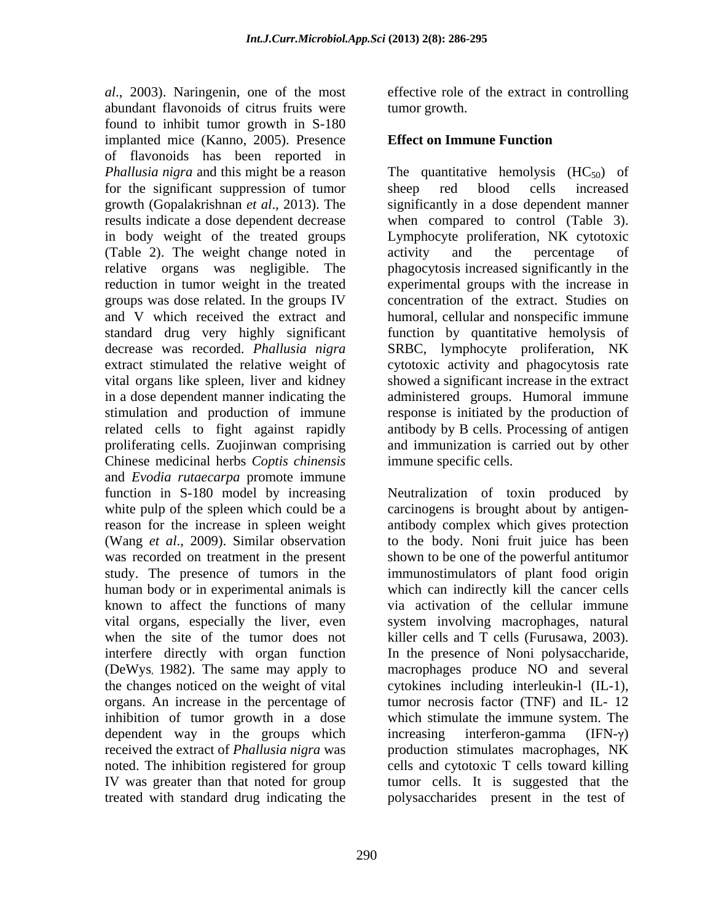*al*., 2003). Naringenin, one of the most effective role of the extract in controlling abundant flavonoids of citrus fruits were found to inhibit tumor growth in S-180 implanted mice (Kanno, 2005). Presence of flavonoids has been reported in for the significant suppression of tumor sheep red blood cells increased (Table 2). The weight change noted in groups was dose related. In the groups IV decrease was recorded. *Phallusia nigra* related cells to fight against rapidly proliferating cells. Zuojinwan comprising Chinese medicinal herbs *Coptis chinensis* and *Evodia rutaecarpa* promote immune function in S-180 model by increasing Neutralization of toxin produced by white pulp of the spleen which could be a carcinogens is brought about by antigenreason for the increase in spleen weight antibody complex which gives protection (Wang *et al*., 2009). Similar observation was recorded on treatment in the present shown to be one of the powerful antitumor study. The presence of tumors in the immunostimulators of plant food origin human body or in experimental animals is which can indirectly kill the cancer cells known to affect the functions of many vital organs, especially the liver, even system involving macrophages, natural when the site of the tumor does not killer cells and T cells (Furusawa, 2003). interfere directly with organ function In the presence of Noni polysaccharide, (DeWys, 1982). The same may apply to macrophages produce NO and several the changes noticed on the weight of vital cytokines including interleukin-l (IL-1), organs. An increase in the percentage of tumor necrosis factor (TNF) and IL- 12 inhibition of tumor growth in a dose which stimulate the immune system. The dependent way in the groups which increasing interferon-gamma  $(IFN-\gamma)$ received the extract of *Phallusia nigra* was production stimulates macrophages, NK noted. The inhibition registered for group cells and cytotoxic T cells toward killing IV was greater than that noted for group tumor cells. It is suggested that the

290

tumor growth.

## **Effect on Immune Function**

*Phallusia nigra* and this might be a reason The quantitative hemolysis (HC<sub>50</sub>) of growth (Gopalakrishnan *et al*., 2013). The significantly in a dose dependent manner results indicate a dose dependent decrease when compared to control (Table 3). in body weight of the treated groups Lymphocyte proliferation, NK cytotoxic relative organs was negligible. The phagocytosis increased significantly in the reduction in tumor weight in the treated experimental groups with the increase in and V which received the extract and humoral, cellular and nonspecific immune standard drug very highly significant function by quantitative hemolysis of extract stimulated the relative weight of cytotoxic activity and phagocytosis rate vital organs like spleen, liver and kidney showed a significant increase in the extract in a dose dependent manner indicating the administered groups. Humoral immune stimulation and production of immune response is initiated by the production of sheep red blood cells increased activity and the percentage of concentration of the extract. Studies on SRBC, lymphocyte proliferation, NK antibody by B cells. Processing of antigen and immunization is carried out by other immune specific cells.

treated with standard drug indicating the polysaccharides present in the test of to the body. Noni fruit juice has been via activation of the cellular immune killer cells and <sup>T</sup> cells (Furusawa, 2003). In the presence of Noni polysaccharide, increasing interferon-gamma  $(IFN-\gamma)$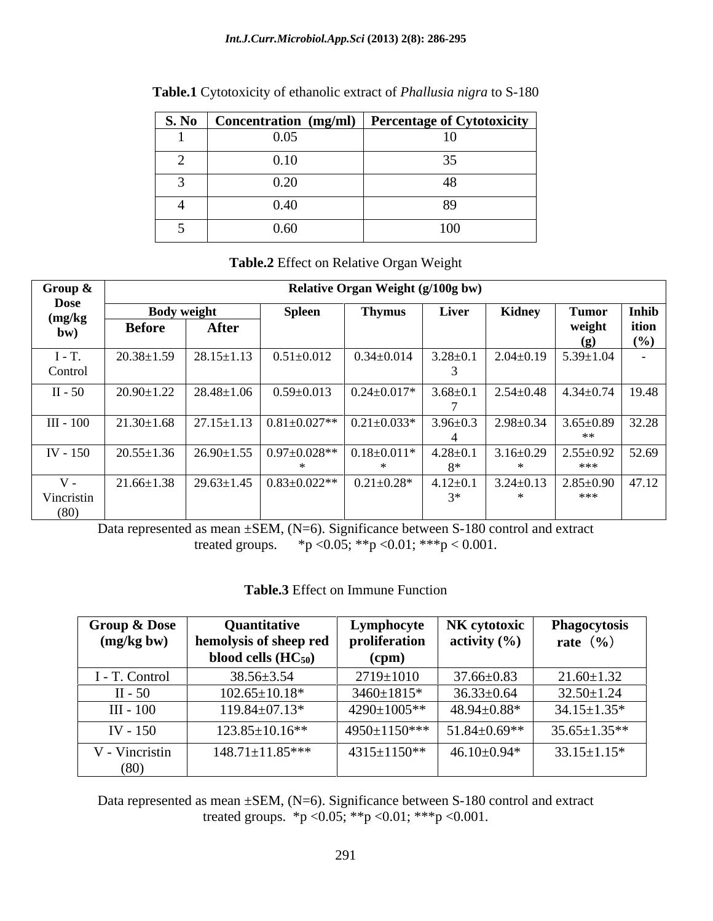|      | S. No $\vert$ Concentration (mg/ml) $\vert$ Percentage of Cytotoxicity $\vert$ |
|------|--------------------------------------------------------------------------------|
| 0.05 |                                                                                |
| 0.10 |                                                                                |
| 0.20 |                                                                                |
| 0.40 |                                                                                |
| 0.60 | 100                                                                            |

**Table.1** Cytotoxicity of ethanolic extract of *Phallusia nigra* to S-180

## **Table.2** Effect on Relative Organ Weight

| Group &                       |                                     |                  |                                     | <b>Relative Organ Weight (g/100g bw)</b> |                |                                           |                                              |                       |
|-------------------------------|-------------------------------------|------------------|-------------------------------------|------------------------------------------|----------------|-------------------------------------------|----------------------------------------------|-----------------------|
| <b>Dose</b><br>(mg/kg)<br>bw) | <b>Body weight</b><br><b>Before</b> | After            | <b>Spleen</b>                       | <b>Thymus</b>                            | Liver          | Kidney                                    | <b>Tumor</b><br>weight<br>(ø)                | Inhib<br>ition<br>(%) |
| $1 - 1.$<br>Control           | $20.38 \pm 1.59$                    | $28.15 \pm 1.13$ | $0.51 \pm 0.012$                    | $0.34 \pm 0.014$                         | $3.28 \pm 0.1$ | $2.04 \pm 0.19$                           | $5.39 \pm 1.04$                              |                       |
| $II - 50$                     | $20.90 \pm 1.22$                    | $28.48 \pm 1.06$ | $0.59 \pm 0.013$                    | $0.24 \pm 0.017*$                        | $3.68 \pm 0.1$ | $2.54 \pm 0.48$   $4.34 \pm 0.74$   19.48 |                                              |                       |
| III - 100                     | $21.30 \pm 1.68$                    |                  | $27.15 \pm 1.13$ 0.81 $\pm$ 0.027** | $0.21 \pm 0.033*$                        | $3.96 \pm 0.3$ | $2.98 \pm 0.34$                           | $3.65 \pm 0.89$ 32.28<br>**                  |                       |
| IV - 150                      | $20.55 \pm 1.36$                    |                  | $26.90 \pm 1.55$ 0.97 $\pm$ 0.028** | $0.18 \pm 0.011*$                        | $4.28 \pm 0.1$ | $3.16 \pm 0.29$                           | $2.55 \pm 0.92$ 52.69<br>***                 |                       |
| $V -$<br>Vincristin<br>(80)   | $21.66 \pm 1.38$                    |                  | $29.63 \pm 1.45$ 0.83 $\pm$ 0.022** | $0.21 \pm 0.28*$                         | $4.12 \pm 0.1$ |                                           | $3.24 \pm 0.13$ $2.85 \pm 0.90$ 47.12<br>*** |                       |

Data represented as mean  $\pm$ SEM, (N=6). Significance between S-180 control and extract treated groups.  $*p < 0.05$ ;  $**p < 0.01$ ;  $***p < 0.001$ .

| Table.3 Effect on Immune Function |  |  |
|-----------------------------------|--|--|
|-----------------------------------|--|--|

| Group & Dose              | Quantitative                                          |                    | Lymphocyte   NK cytotoxic   Phagocytosis |                    |
|---------------------------|-------------------------------------------------------|--------------------|------------------------------------------|--------------------|
| (mg/kg bw)                | hemolysis of sheep red   proliferation   activity (%) |                    |                                          | rate $(\% )$       |
|                           | blood cells $(HC_{50})$                               | (cpm)              |                                          |                    |
| I - T. Control            | $38.56 \pm 3.54$                                      | 2719±1010          | $37.66 \pm 0.83$                         | $21.60 \pm 1.32$   |
| II - 50                   | $102.65 \pm 10.18*$                                   | $3460 \pm 1815$ *  | $36.33 \pm 0.64$                         | $32.50 \pm 1.24$   |
| III - 100                 | $119.84 \pm 07.13*$                                   | 4290±1005**        | $48.94 \pm 0.88$ *                       | $34.15 \pm 1.35^*$ |
| IV - 150                  | $123.85 \pm 10.16**$                                  |                    | $\mid$ 4950±1150***   51.84±0.69**       | $35.65 \pm 1.35**$ |
| <sup>T</sup> - Vincristin | $148.71 \pm 11.85***$                                 | $4315 \pm 1150$ ** | $46.10{\pm}0.94*$                        | $33.15 \pm 1.15^*$ |
|                           |                                                       |                    |                                          |                    |

Data represented as mean  $\pm$ SEM, (N=6). Significance between S-180 control and extract treated groups. \*p <0.05; \*\*p <0.01; \*\*\*p <0.001.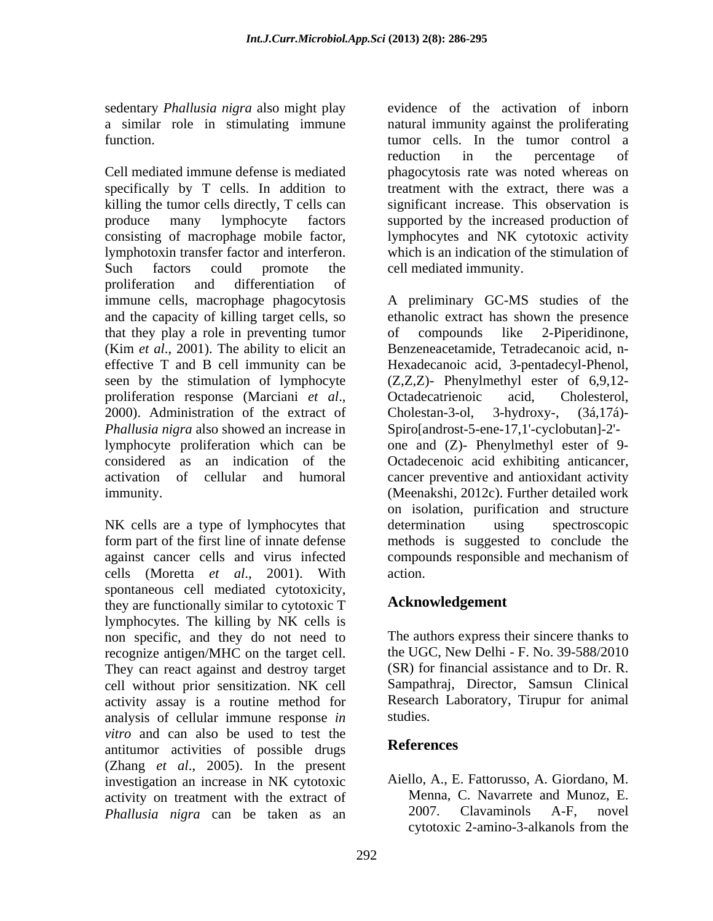sedentary *Phallusia nigra* also might play

Cell mediated immune defense is mediated phagocytosis rate was noted whereas on specifically by T cells. In addition to treatment with the extract, there was a killing the tumor cells directly, T cells can produce many lymphocyte factors supported by the increased production of consisting of macrophage mobile factor, lymphocytes and NK cytotoxic activity lymphotoxin transfer factor and interferon. which is an indication of the stimulation of Such factors could promote the cell mediated immunity. proliferation and differentiation of immune cells, macrophage phagocytosis A preliminary GC-MS studies of the and the capacity of killing target cells, so ethanolic extract has shown the presence that they play a role in preventing tumor (Kim *et al*., 2001). The ability to elicit an effective T and B cell immunity can be Hexadecanoic acid, 3-pentadecyl-Phenol, seen by the stimulation of lymphocyte (Z,Z,Z)- Phenylmethyl ester of 6,9,12 proliferation response (Marciani *et al.*, Octadecatrienoic acid, Cholesterol, 2000). Administration of the extract of Cholestan-3-ol, 3-hydroxy-,  $(3\land, 17\land)$ -*Phallusia nigra* also showed an increase in lymphocyte proliferation which can be one and (Z)- Phenylmethyl ester of 9 considered as an indication of the Octadecenoic acid exhibiting anticancer, activation of cellular and humoral cancer preventive and antioxidant activity immunity. (Meenakshi, 2012c). Further detailed work

NK cells are a type of lymphocytes that determination using spectroscopic form part of the first line of innate defense methods is suggested to conclude the against cancer cells and virus infected cells (Moretta *et al*., 2001). With spontaneous cell mediated cytotoxicity, they are functionally similar to cytotoxic T lymphocytes. The killing by NK cells is non specific, and they do not need to recognize antigen/MHC on the target cell. They can react against and destroy target cell without prior sensitization. NK cell Sampathraj, Director, Samsun Clinical activity assay is a routine method for Researc<br>analysis of cellular immune response *in* studies. analysis of cellular immune response *in vitro* and can also be used to test the<br> **References** antitumor activities of possible drugs (Zhang *et al*., 2005). In the present investigation an increase in NK cytotoxic activity on treatment with the extract of Menna, C. Navarrete and Munoz, E.<br> *Phallusia nigra* can be taken as an 2007. Clavaminols A-F, novel

a similar role in stimulating immune natural immunity against the proliferating function. tumor cells. In the tumor control a evidence of the activation of inborn reduction in the percentage of significant increase. This observation is cell mediated immunity.

> of compounds like 2-Piperidinone, Benzeneacetamide, Tetradecanoic acid, n- Octadecatrienoic acid, Cholesterol, Cholestan-3-ol, 3-hydroxy-, (3á,17á)- Spiro[androst-5-ene-17,1'-cyclobutan]-2' on isolation, purification and structure determination using spectroscopic compounds responsible and mechanism of action.

## **Acknowledgement**

The authors express their sincere thanks to the UGC, New Delhi - F. No. 39-588/2010 (SR) for financial assistance and to Dr.R. Research Laboratory, Tirupur for animal studies.

## **References**

*Phallusia nigra* can be taken as an an 2007. Clavaminols A-F, novel cytotoxic 2-amino-3-alkanols from the Aiello, A., E. Fattorusso, A. Giordano, M. Menna, C. Navarrete and Munoz, E. 2007. Clavaminols A-F, novel cytotoxic 2-amino-3-alkanols from the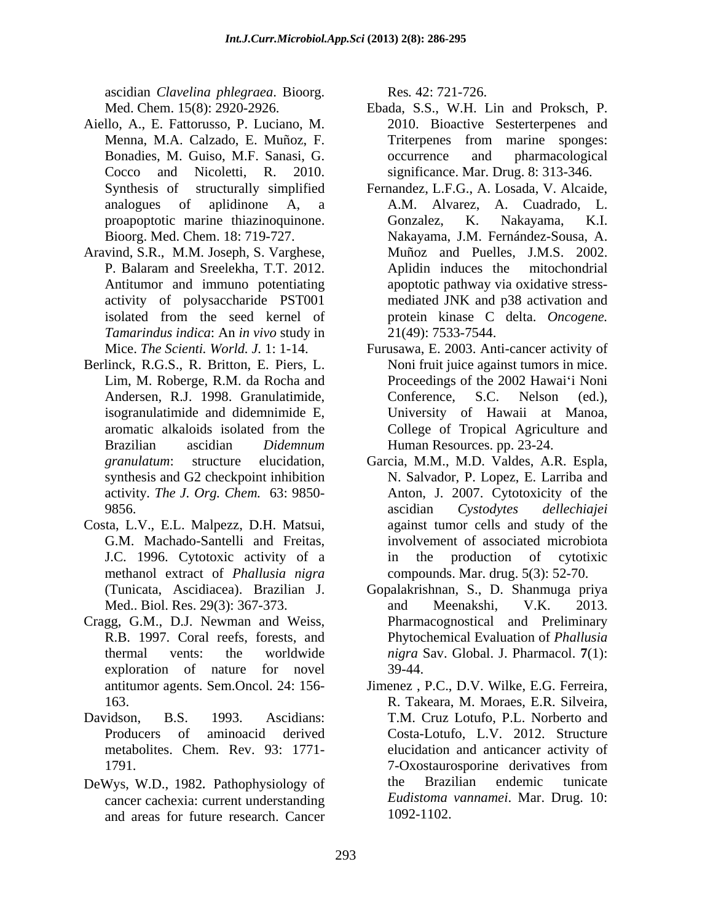ascidian *Clavelina phlegraea*. Bioorg.

- Aiello, A., E. Fattorusso, P. Luciano, M.
- Aravind, S.R., M.M. Joseph, S. Varghese, activity of polysaccharide PST001 *Tamarindus indica*: An *in vivo* study in
- Berlinck, R.G.S., R. Britton, E. Piers, L. Lim, M. Roberge, R.M. da Rocha and
- Costa, L.V., E.L. Malpezz, D.H. Matsui, G.M. Machado-Santelli and Freitas, methanol extract of *Phallusia nigra*
- Cragg, G.M., D.J. Newman and Weiss, exploration of nature for novel 39-44.
- 
- cancer cachexia: current understanding and areas for future research. Cancer

Res*.* 42: 721-726.

- Med. Chem. 15(8): 2920-2926. Ebada, S.S., W.H. Lin and Proksch, P. Menna, M.A. Calzado, E. Muñoz, F. Bonadies, M. Guiso, M.F. Sanasi, G. Cocco and Nicoletti, R. 2010. significance. Mar. Drug. 8: 313-346. 2010. Bioactive Sesterterpenes and Triterpenes from marine sponges: occurrence and pharmacological
- Synthesis of structurally simplified Fernandez, L.F.G., A. Losada, V. Alcaide, analogues of aplidinone A, a A.M. Alvarez, A. Cuadrado, L. proapoptotic marine thiazinoquinone. Gonzalez, K. Nakayama, K.I. Bioorg. Med. Chem. 18: 719-727. Nakayama, J.M. Fernández-Sousa, A. P. Balaram and Sreelekha, T.T. 2012. Antitumor and immuno potentiating apoptotic pathway via oxidative stress isolated from the seed kernel of protein kinase C delta. *Oncogene.* Gonzalez, K. Nakayama, K.I. Muñoz and Puelles, J.M.S. 2002. Aplidin induces the mitochondrial mediated JNK and p38 activation and 21(49): 7533-7544.
- Mice. *The Scienti. World. J.* 1: 1-14. Furusawa, E. 2003. Anti-cancer activity of Andersen, R.J. 1998. Granulatimide, Conference, S.C. Nelson (ed.), isogranulatimide and didemnimide E, University of Hawaii at Manoa, aromatic alkaloids isolated from the Brazilian ascidian *Didemnum*  Human Resources. pp. 23-24. Noni fruit juice against tumors in mice. Proceedings of the 2002 Hawai'i Noni Conference, S.C. Nelson (ed.), College of Tropical Agriculture and
- *granulatum*: structure elucidation, Garcia, M.M., M.D. Valdes, A.R. Espla, synthesis and G2 checkpoint inhibition N. Salvador, P. Lopez, E. Larriba and activity*. The J. Org. Chem.* 63: 9850- Anton, J. 2007. Cytotoxicity of the 9856. J.C. 1996. Cytotoxic activity of a ascidian *Cystodytes dellechiajei* against tumor cells and study of the involvement of associated microbiota in the production of cytotixic compounds. Mar. drug. 5(3): 52-70.
- (Tunicata, Ascidiacea). Brazilian J. Gopalakrishnan, S., D. Shanmuga priya Med.. Biol. Res. 29(3): 367-373. R.B. 1997. Coral reefs, forests, and Phytochemical Evaluation of *Phallusia*  thermal vents: the worldwide *nigra* Sav. Global. J. Pharmacol. **7**(1): and Meenakshi, V.K. 2013. Pharmacognostical and Preliminary 39-44.
- antitumor agents. Sem.Oncol. 24: 156- Jimenez , P.C., D.V. Wilke, E.G. Ferreira, 163. R. Takeara, M. Moraes, E.R. Silveira, Davidson, B.S. 1993. Ascidians: T.M. Cruz Lotufo, P.L. Norberto and Producers of aminoacid derived Costa-Lotufo, L.V. 2012. Structure metabolites. Chem. Rev. 93: 1771- elucidation and anticancer activity of 1791. 2012 7-Oxostaurosporine derivatives from DeWys, W.D., 1982. Pathophysiology of the Brazilian endemic tunicate 7-Oxostaurosporine derivatives from the Brazilian endemic tunicate *Eudistoma vannamei*. Mar. Drug. 10: 1092-1102.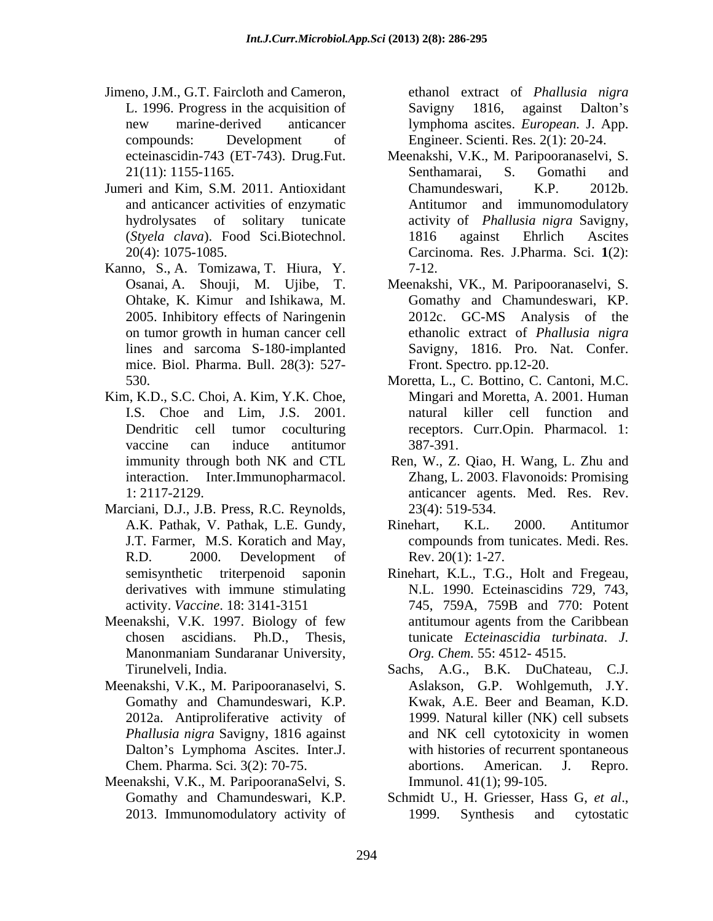- Jimeno, J.M., G.T. Faircloth and Cameron, L. 1996. Progress in the acquisition of Savigny 1816, against Dalton's new marine-derived anticancer lymphoma ascites. *European*. J. App. compounds: Development of Engineer. Scienti. Res. 2(1): 20-24.
- Jumeri and Kim, S.M. 2011. Antioxidant Chamundeswari, K.P. 2012b.
- Kanno, S., A. Tomizawa, T. Hiura, Y. mice. Biol. Pharma. Bull. 28(3): 527-
- Kim, K.D., S.C. Choi, A. Kim, Y.K. Choe, Mingari and Moretta, A. 2001. Human
- Marciani, D.J., J.B. Press, R.C. Reynolds,
- Meenakshi, V.K. 1997. Biology of few
- Meenakshi, V.K., M. Paripooranaselvi, S. 2012a. Antiproliferative activity of Dalton's Lymphoma Ascites. Inter.J.
- Meenakshi, V.K., M. ParipooranaSelvi, S.

ethanol extract of *Phallusia nigra* Savigny 1816, against Dalton's lymphoma ascites. *European.* J. App. Engineer. Scienti. Res. 2(1): 20-24.

- ecteinascidin-743 (ET-743). Drug.Fut. Meenakshi, V.K., M. Paripooranaselvi, S. 21(11): 1155-1165. Senthamarai, S. Gomathi and and anticancer activities of enzymatic Antitumor and immunomodulatory hydrolysates of solitary tunicate activity of *Phallusia nigra* Savigny, (*Styela clava*). Food Sci.Biotechnol. 20(4): 1075-1085. Carcinoma. Res. J.Pharma. Sci. **1**(2): Senthamarai, S. Gomathi and Chamundeswari, K.P. 2012b. 1816 against Ehrlich Ascites 7-12.
- Osanai, A. Shouji, M. Ujibe, T. Meenakshi, VK., M. Paripooranaselvi, S.<br>Ohtake, K. Kimur and Ishikawa, M. Gomathy and Chamundeswari, KP.<br>2005. Inhibitory effects of Naringenin 2012c. GC-MS Analysis of the on tumor growth in human cancer cell ethanolic extract of *Phallusia nigra* lines and sarcoma S-180-implanted Savigny, 1816. Pro. Nat. Confer. Meenakshi, VK., M. Paripooranaselvi, S. Gomathy and Chamundeswari, KP. 2012c. GC-MS Analysis of the Front. Spectro*.* pp.12-20.
- 530. Moretta, L., C. Bottino, C. Cantoni, M.C. I.S. Choe and Lim, J.S. 2001. Dendritic cell tumor coculturing receptors. Curr.Opin. Pharmacol. 1: vaccine can induce antitumor 387-391. Moretta, L., C. Bottino, C. Cantoni, M.C. Mingari and Moretta, A. 2001. Human natural killer cell function 387-391.
- immunity through both NK and CTL Ren, W., Z. Qiao, H. Wang, L. Zhu and interaction. Inter.Immunopharmacol. Zhang, L. 2003. Flavonoids: Promising 1: 2117-2129. anticancer agents. Med. Res. Rev. 23(4): 519-534.
- A.K. Pathak, V. Pathak, L.E. Gundy, J.T. Farmer, M.S. Koratich and May, compounds from tunicates. Medi. Res. R.D. 2000. Development of Rev. 20(1): 1-27. Rinehart, K.L. 2000. Antitumor Rev. 20(1): 1-27.
- semisynthetic triterpenoid saponin Rinehart, K.L., T.G., Holt and Fregeau, derivatives with immune stimulating N.L. 1990. Ecteinascidins 729, 743, activity. *Vaccine*. 18: 3141-3151 745, 759A, 759B and 770: Potent chosen ascidians. Ph.D., Thesis, tunicate *Ecteinascidia turbinata*. *J.* Manonmaniam Sundaranar University,  $Org. Chem. 55: 4512-4515.$ antitumour agents from the Caribbean *Org. Chem.* 55: 4512- 4515.
- Tirunelveli, India. Sachs, A.G., B.K. DuChateau, C.J. Gomathy and Chamundeswari, K.P. Kwak, A.E. Beer and Beaman, K.D. *Phallusia nigra* Savigny, 1816 against and NK cell cytotoxicity in women Chem. Pharma. Sci*.* 3(2): 70-75. Aslakson, G.P. Wohlgemuth, J.Y. 1999. Natural killer (NK) cell subsets with histories of recurrent spontaneous abortions. American. J. Repro. Immunol. 41(1); 99-105.
- Gomathy and Chamundeswari, K.P. Schmidt U., H. Griesser, Hass G, et al., 2013. Immunomodulatory activity of Schmidt U., H. Griesser, Hass G, *et al*., 1999. Synthesis and cytostatic